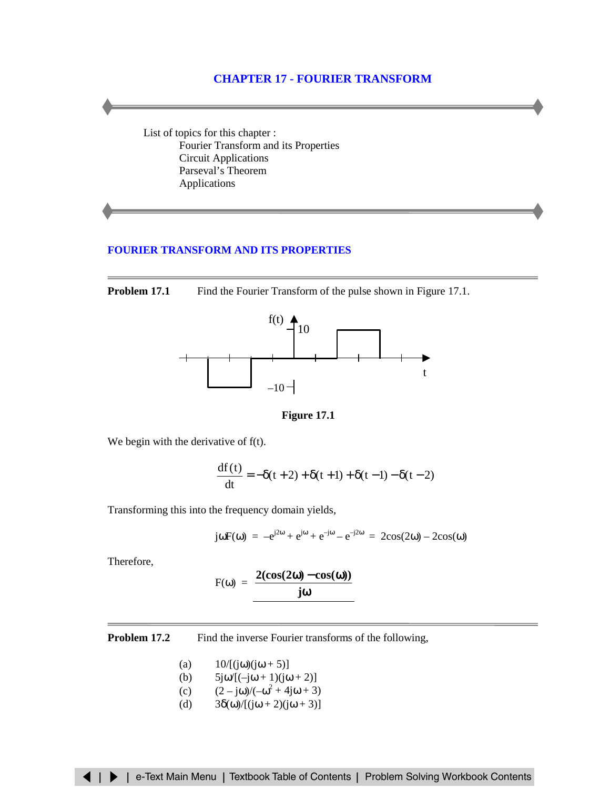# **CHAPTER 17 - FOURIER TRANSFORM**

List of topics for this chapter : Fourier Transform and its Properties [Circuit Applications](#page-2-0) [Parseval's Theorem](#page-4-0) [Applications](#page-5-0)

### **[FOURIER TRANSFORM AND ITS PROPERTIES](#page-7-0)**

**Problem 17.1** Find the Fourier Transform of the pulse shown in Figure 17.1.



**Figure 17.1**

We begin with the derivative of f(t).

$$
\frac{df(t)}{dt} = -\delta(t+2) + \delta(t+1) + \delta(t-1) - \delta(t-2)
$$

Transforming this into the frequency domain yields,

$$
j\omega F(\omega) = -e^{j2\omega} + e^{j\omega} + e^{-j\omega} - e^{-j2\omega} = 2\cos(2\omega) - 2\cos(\omega)
$$

Therefore,

$$
F(\omega) = \frac{2(\cos(2\omega) - \cos(\omega))}{j\omega}
$$

**Problem 17.2** Find the inverse Fourier transforms of the following,

- (a)  $10/[(j\omega)(j\omega + 5)]$
- (b)  $5j\omega/[-j\omega + 1)(j\omega + 2]$
- (c)  $(2 j\omega)/(-\omega^2 + 4j\omega + 3)$
- (d)  $3\delta(\omega)/[(j\omega + 2)(j\omega + 3)]$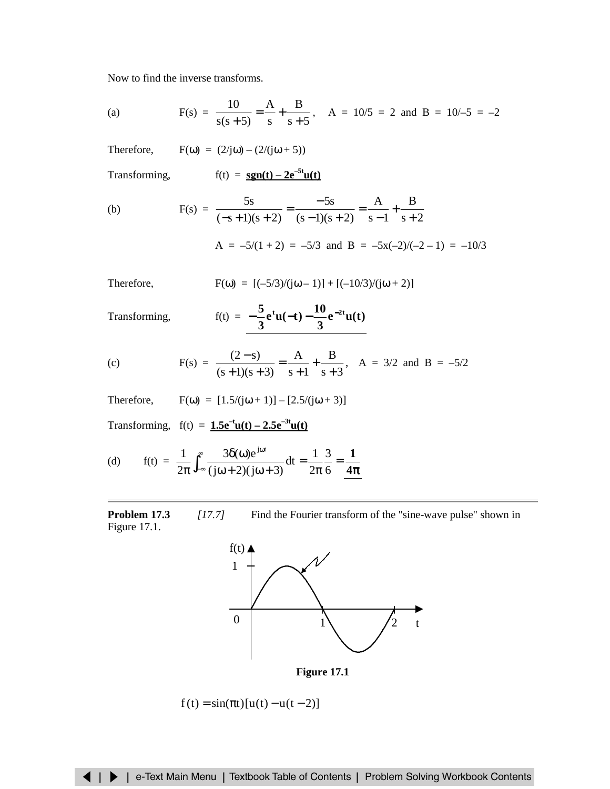Now to find the inverse transforms.

(a) 
$$
F(s) = \frac{10}{s(s+5)} = \frac{A}{s} + \frac{B}{s+5}
$$
,  $A = 10/5 = 2$  and  $B = 10/-5 = -2$ 

Therefore,  $F(\omega) = (2/i\omega) - (2/(i\omega + 5))$ 

Transforming,  $f(t) = sgn(t) - 2e^{-5t}u(t)$ 

(b) 
$$
F(s) = \frac{5s}{(-s+1)(s+2)} = \frac{-5s}{(s-1)(s+2)} = \frac{A}{s-1} + \frac{B}{s+2}
$$

$$
A = -5/(1+2) = -5/3 \text{ and } B = -5x(-2)/(-2-1) = -10/3
$$

Therefore, 
$$
F(\omega) = [(-5/3)/(j\omega - 1)] + [(-10/3)/(j\omega + 2)]
$$

Transforming,  $f(x) = f(x)$ 

$$
f(t) = -\frac{5}{3}e^{t}u(-t) - \frac{10}{3}e^{-2t}u(t)
$$

(c) 
$$
F(s) = \frac{(2-s)}{(s+1)(s+3)} = \frac{A}{s+1} + \frac{B}{s+3}
$$
,  $A = 3/2$  and  $B = -5/2$ 

Therefore,  $F(\omega) = [1.5/(j\omega + 1)] - [2.5/(j\omega + 3)]$ 

Transforming,  $f(t) = 1.5e^{-t}u(t) - 2.5e^{-3t}u(t)$ 

(d) 
$$
f(t) = \frac{1}{2\pi} \int_{-\infty}^{\infty} \frac{3\delta(\omega)e^{j\omega t}}{(j\omega + 2)(j\omega + 3)} dt = \frac{1}{2\pi} \frac{3}{6} = \frac{1}{4\pi}
$$

# **Problem 17.3** *[17.7]* Find the Fourier transform of the "sine-wave pulse" shown in Figure 17.1.



 $f(t) = \sin(\pi t)[u(t) - u(t-2)]$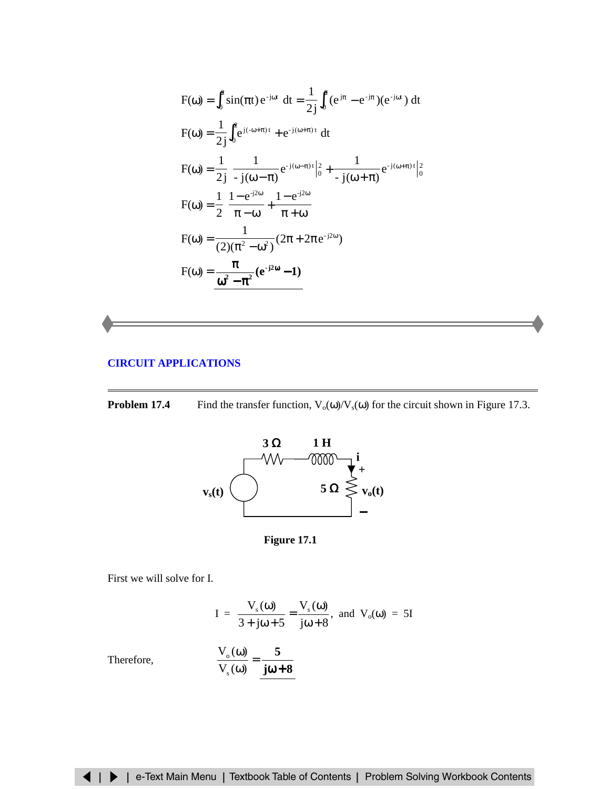<span id="page-2-0"></span>
$$
F(\omega) = \int_0^2 \sin(\pi t) e^{-j\omega t} dt = \frac{1}{2j} \int_0^2 (e^{j\pi} - e^{-j\pi}) (e^{-j\omega t}) dt
$$
  
\n
$$
F(\omega) = \frac{1}{2j} \int_0^2 e^{j(-\omega + \pi)t} + e^{-j(\omega + \pi)t} dt
$$
  
\n
$$
F(\omega) = \frac{1}{2j} \left[ -\frac{1}{j(\omega - \pi)} e^{-j(\omega - \pi)t} \Big|_0^2 + \frac{1}{j(\omega + \pi)} e^{-j(\omega + \pi)t} \Big|_0^2 \right]
$$
  
\n
$$
F(\omega) = \frac{1}{2} \left( \frac{1 - e^{-j2\omega}}{\pi - \omega} + \frac{1 - e^{-j2\omega}}{\pi + \omega} \right)
$$
  
\n
$$
F(\omega) = \frac{1}{(2)(\pi^2 - \omega^2)} (2\pi + 2\pi e^{-j2\omega})
$$
  
\n
$$
F(\omega) = \frac{\pi}{\omega^2 - \pi^2} (e^{-j2\omega} - 1)
$$

### **[CIRCUIT APPLICATIONS](#page-20-0)**

**Problem 17.4** Find the transfer function,  $V_0(\omega)/V_s(\omega)$  for the circuit shown in Figure 17.3.



**Figure 17.1**

First we will solve for I.

I = 
$$
\frac{V_s(\omega)}{3 + j\omega + 5} = \frac{V_s(\omega)}{j\omega + 8}
$$
, and  $V_o(\omega) = 5I$ 

Therefore,

$$
\frac{V_{o}(\omega)}{V_{s}(\omega)} = \frac{5}{j\omega + 8}
$$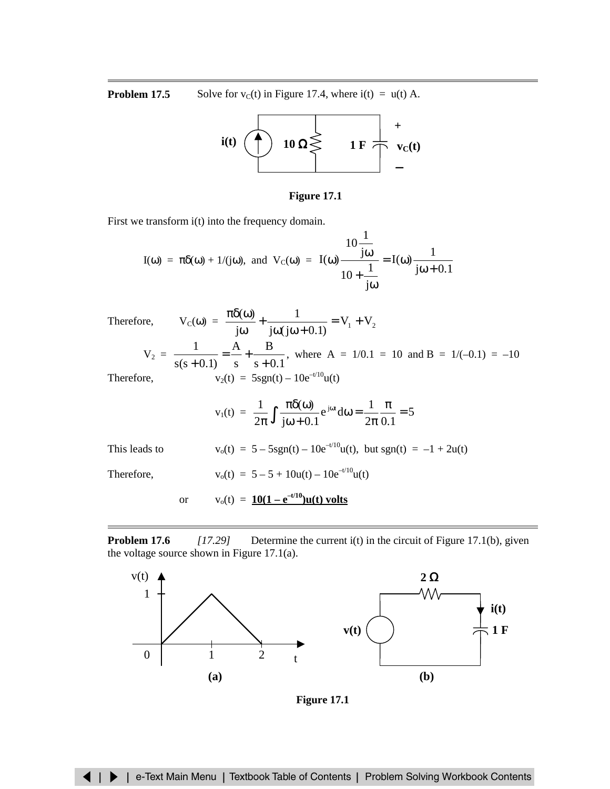**Problem 17.5** Solve for  $v_c(t)$  in Figure 17.4, where i(t) =  $u(t)$  A.



### **Figure 17.1**

First we transform i(t) into the frequency domain.

$$
I(\omega) = \pi \delta(\omega) + 1/(j\omega), \text{ and } V_C(\omega) = I(\omega) \frac{10\frac{1}{j\omega}}{10 + \frac{1}{j\omega}} = I(\omega) \frac{1}{j\omega + 0.1}
$$

Therefore, 
$$
V_C(\omega) = \frac{\pi \delta(\omega)}{j\omega} + \frac{1}{j\omega(j\omega + 0.1)} = V_1 + V_2
$$
  
\n $V_2 = \frac{1}{s(s+0.1)} = \frac{A}{s} + \frac{B}{s+0.1}$ , where A = 1/0.1 = 10 and B = 1/(-0.1) = -10  
\nTherefore,  $v_2(t) = 5sgn(t) - 10e^{-t/10}u(t)$ 

$$
v_1(t) = \frac{1}{2\pi} \int \frac{\pi \delta(\omega)}{j\omega + 0.1} e^{j\omega t} d\omega = \frac{1}{2\pi} \frac{\pi}{0.1} = 5
$$

| This leads to |     | $v_0(t) = 5 - 5sgn(t) - 10e^{-t/10}u(t)$ , but sgn(t) = -1 + 2u(t) |
|---------------|-----|--------------------------------------------------------------------|
| Therefore,    |     | $v_0(t) = 5 - 5 + 10u(t) - 10e^{-t/10}u(t)$                        |
|               | or. | $v_0(t) = 10(1 - e^{-t/10})u(t)$ volts                             |

**Problem 17.6** *[17.29]* Determine the current i(t) in the circuit of Figure 17.1(b), given the voltage source shown in Figure 17.1(a).



**Figure 17.1**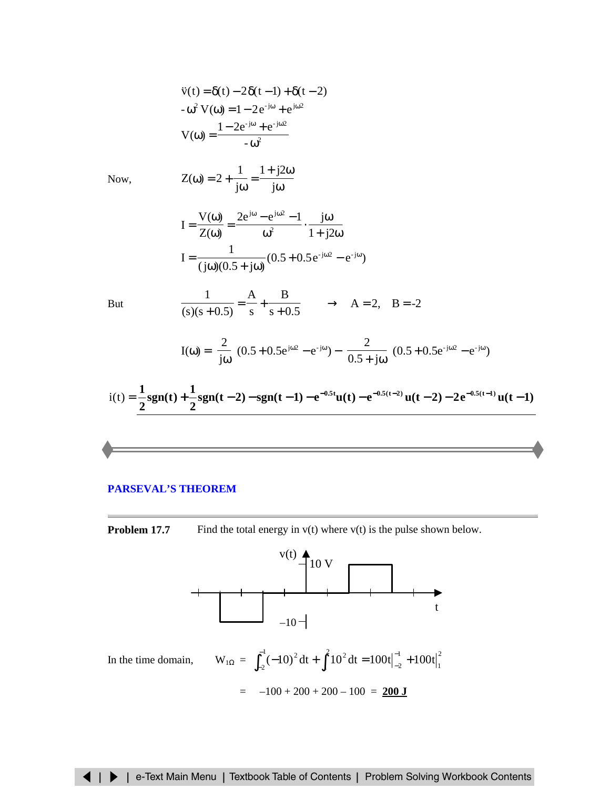<span id="page-4-0"></span>
$$
\ddot{v}(t) = \delta(t) - 2\delta(t-1) + \delta(t-2)
$$
  
\n
$$
-\omega^2 V(\omega) = 1 - 2e^{-j\omega} + e^{j\omega^2}
$$
  
\n
$$
V(\omega) = \frac{1 - 2e^{-j\omega} + e^{-j\omega^2}}{-\omega^2}
$$
  
\nNow,  
\n
$$
Z(\omega) = 2 + \frac{1}{j\omega} = \frac{1 + j2\omega}{j\omega}
$$
  
\n
$$
I = \frac{V(\omega)}{Z(\omega)} = \frac{2e^{j\omega} - e^{j\omega^2} - 1}{\omega^2} \cdot \frac{j\omega}{1 + j2\omega}
$$
  
\n
$$
I = \frac{1}{(j\omega)(0.5 + j\omega)}(0.5 + 0.5e^{-j\omega^2} - e^{-j\omega})
$$
  
\nBut  
\n
$$
\frac{1}{(s)(s + 0.5)} = \frac{A}{s} + \frac{B}{s + 0.5} \longrightarrow A = 2, B = -2
$$
  
\n
$$
I(\omega) = \left(\frac{2}{j\omega}\right)(0.5 + 0.5e^{j\omega^2} - e^{-j\omega}) - \left(\frac{2}{0.5 + j\omega}\right)(0.5 + 0.5e^{-j\omega^2} - e^{-j\omega})
$$
  
\n
$$
i(t) = \frac{1}{2}sgn(t) + \frac{1}{2}sgn(t - 2) - sgn(t - 1) - e^{-0.5t}u(t) - e^{-0.5(t - 2)}u(t - 2) - 2e^{-0.5(t - 1)}u(t - 1)
$$

#### **[PARSEVAL'S](#page-23-0) THEOREM**

**Problem 17.7** Find the total energy in v(t) where v(t) is the pulse shown below.

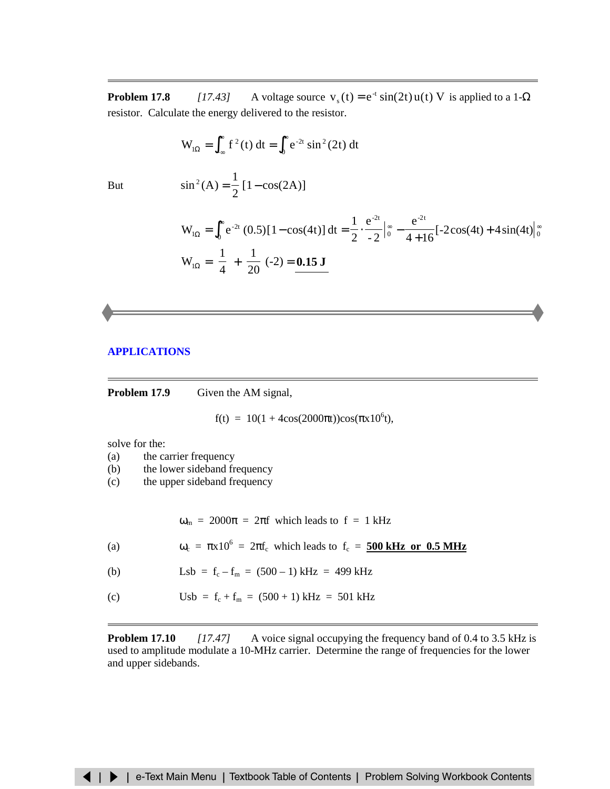<span id="page-5-0"></span>**Problem 17.8** *[17.43]* A voltage source  $v_s(t) = e^{-t} \sin(2t) u(t) V$  is applied to a 1- $\Omega$ resistor. Calculate the energy delivered to the resistor.

$$
W_{1\Omega} = \int_{-\infty}^{\infty} f^2(t) dt = \int_{0}^{\infty} e^{-2t} \sin^2(2t) dt
$$

But 
$$
\sin^2(A) = \frac{1}{2} [1 - \cos(2A)]
$$

$$
W_{1\Omega} = \int_0^\infty e^{-2t} (0.5)[1 - \cos(4t)] dt = \frac{1}{2} \cdot \frac{e^{-2t}}{-2} \Big|_0^\infty - \frac{e^{-2t}}{4 + 16} [-2\cos(4t) + 4\sin(4t)]_0^\infty
$$
  
\n
$$
W_{1\Omega} = \left(\frac{1}{4}\right) + \left(\frac{1}{20}\right) - 2 = 0.15 J
$$

### **[APPLICATIONS](#page-26-0)**

**Problem 17.9** Given the AM signal,

 $f(t) = 10(1 + 4\cos(2000\pi t))\cos(\pi x 10^6 t),$ 

solve for the:

- (a) the carrier frequency
- (b) the lower sideband frequency
- (c) the upper sideband frequency

 $\omega_m$  = 2000 $\pi$  = 2 $\pi$ f which leads to f = 1 kHz

(a)  $\omega_c = \pi x 10^6 = 2\pi f_c$  which leads to  $f_c = 500 \text{ kHz or } 0.5 \text{ MHz}$ 

(b) 
$$
Lsb = f_c - f_m = (500 - 1) \text{ kHz} = 499 \text{ kHz}
$$

(c) Usb =  $f_c + f_m = (500 + 1) \text{ kHz} = 501 \text{ kHz}$ 

**Problem 17.10** *[17.47]* A voice signal occupying the frequency band of 0.4 to 3.5 kHz is used to amplitude modulate a 10-MHz carrier. Determine the range of frequencies for the lower and upper sidebands.